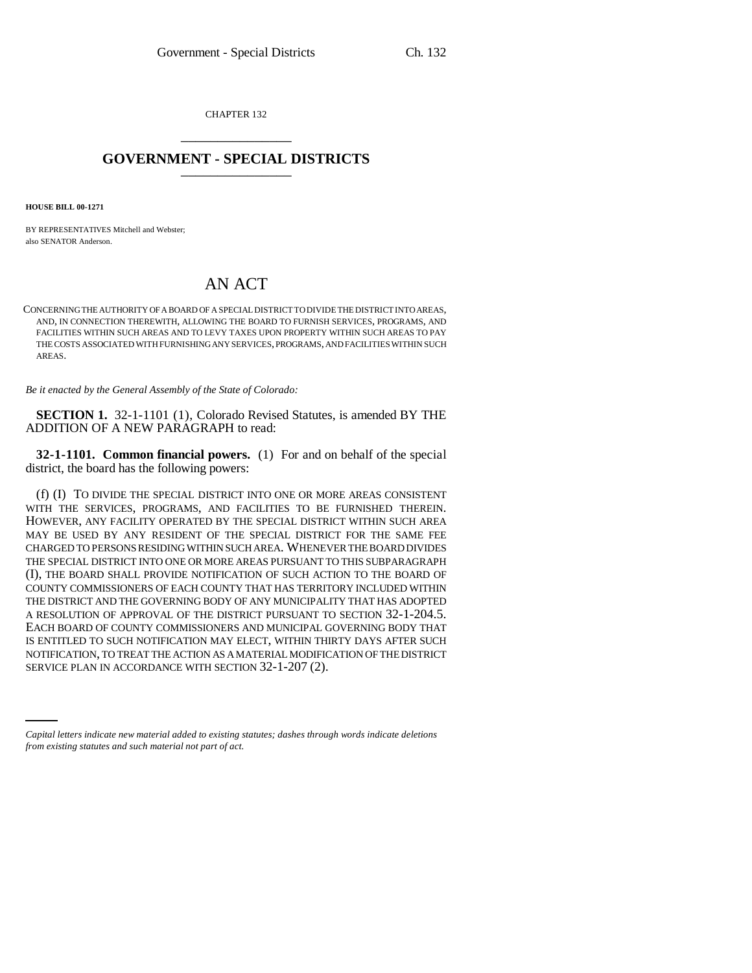CHAPTER 132 \_\_\_\_\_\_\_\_\_\_\_\_\_\_\_

## **GOVERNMENT - SPECIAL DISTRICTS** \_\_\_\_\_\_\_\_\_\_\_\_\_\_\_

**HOUSE BILL 00-1271** 

BY REPRESENTATIVES Mitchell and Webster; also SENATOR Anderson.

## AN ACT

CONCERNING THE AUTHORITY OF A BOARD OF A SPECIAL DISTRICT TO DIVIDE THE DISTRICT INTO AREAS, AND, IN CONNECTION THEREWITH, ALLOWING THE BOARD TO FURNISH SERVICES, PROGRAMS, AND FACILITIES WITHIN SUCH AREAS AND TO LEVY TAXES UPON PROPERTY WITHIN SUCH AREAS TO PAY THE COSTS ASSOCIATED WITH FURNISHING ANY SERVICES, PROGRAMS, AND FACILITIES WITHIN SUCH AREAS.

*Be it enacted by the General Assembly of the State of Colorado:*

**SECTION 1.** 32-1-1101 (1), Colorado Revised Statutes, is amended BY THE ADDITION OF A NEW PARAGRAPH to read:

**32-1-1101. Common financial powers.** (1) For and on behalf of the special district, the board has the following powers:

NOTIFICATION, TO TREAT THE ACTION AS A MATERIAL MODIFICATION OF THE DISTRICT (f) (I) TO DIVIDE THE SPECIAL DISTRICT INTO ONE OR MORE AREAS CONSISTENT WITH THE SERVICES, PROGRAMS, AND FACILITIES TO BE FURNISHED THEREIN. HOWEVER, ANY FACILITY OPERATED BY THE SPECIAL DISTRICT WITHIN SUCH AREA MAY BE USED BY ANY RESIDENT OF THE SPECIAL DISTRICT FOR THE SAME FEE CHARGED TO PERSONS RESIDING WITHIN SUCH AREA. WHENEVER THE BOARD DIVIDES THE SPECIAL DISTRICT INTO ONE OR MORE AREAS PURSUANT TO THIS SUBPARAGRAPH (I), THE BOARD SHALL PROVIDE NOTIFICATION OF SUCH ACTION TO THE BOARD OF COUNTY COMMISSIONERS OF EACH COUNTY THAT HAS TERRITORY INCLUDED WITHIN THE DISTRICT AND THE GOVERNING BODY OF ANY MUNICIPALITY THAT HAS ADOPTED A RESOLUTION OF APPROVAL OF THE DISTRICT PURSUANT TO SECTION 32-1-204.5. EACH BOARD OF COUNTY COMMISSIONERS AND MUNICIPAL GOVERNING BODY THAT IS ENTITLED TO SUCH NOTIFICATION MAY ELECT, WITHIN THIRTY DAYS AFTER SUCH SERVICE PLAN IN ACCORDANCE WITH SECTION 32-1-207 (2).

*Capital letters indicate new material added to existing statutes; dashes through words indicate deletions from existing statutes and such material not part of act.*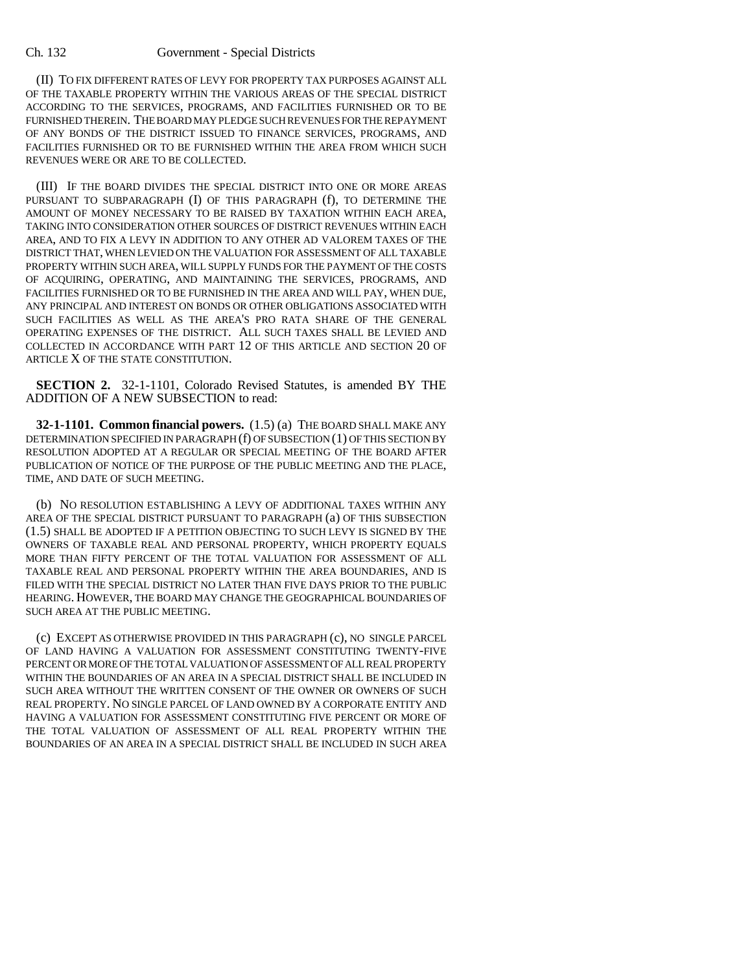## Ch. 132 Government - Special Districts

(II) TO FIX DIFFERENT RATES OF LEVY FOR PROPERTY TAX PURPOSES AGAINST ALL OF THE TAXABLE PROPERTY WITHIN THE VARIOUS AREAS OF THE SPECIAL DISTRICT ACCORDING TO THE SERVICES, PROGRAMS, AND FACILITIES FURNISHED OR TO BE FURNISHED THEREIN. THE BOARD MAY PLEDGE SUCH REVENUES FOR THE REPAYMENT OF ANY BONDS OF THE DISTRICT ISSUED TO FINANCE SERVICES, PROGRAMS, AND FACILITIES FURNISHED OR TO BE FURNISHED WITHIN THE AREA FROM WHICH SUCH REVENUES WERE OR ARE TO BE COLLECTED.

(III) IF THE BOARD DIVIDES THE SPECIAL DISTRICT INTO ONE OR MORE AREAS PURSUANT TO SUBPARAGRAPH (I) OF THIS PARAGRAPH (f), TO DETERMINE THE AMOUNT OF MONEY NECESSARY TO BE RAISED BY TAXATION WITHIN EACH AREA, TAKING INTO CONSIDERATION OTHER SOURCES OF DISTRICT REVENUES WITHIN EACH AREA, AND TO FIX A LEVY IN ADDITION TO ANY OTHER AD VALOREM TAXES OF THE DISTRICT THAT, WHEN LEVIED ON THE VALUATION FOR ASSESSMENT OF ALL TAXABLE PROPERTY WITHIN SUCH AREA, WILL SUPPLY FUNDS FOR THE PAYMENT OF THE COSTS OF ACQUIRING, OPERATING, AND MAINTAINING THE SERVICES, PROGRAMS, AND FACILITIES FURNISHED OR TO BE FURNISHED IN THE AREA AND WILL PAY, WHEN DUE, ANY PRINCIPAL AND INTEREST ON BONDS OR OTHER OBLIGATIONS ASSOCIATED WITH SUCH FACILITIES AS WELL AS THE AREA'S PRO RATA SHARE OF THE GENERAL OPERATING EXPENSES OF THE DISTRICT. ALL SUCH TAXES SHALL BE LEVIED AND COLLECTED IN ACCORDANCE WITH PART 12 OF THIS ARTICLE AND SECTION 20 OF ARTICLE X OF THE STATE CONSTITUTION.

**SECTION 2.** 32-1-1101, Colorado Revised Statutes, is amended BY THE ADDITION OF A NEW SUBSECTION to read:

**32-1-1101. Common financial powers.** (1.5) (a) THE BOARD SHALL MAKE ANY DETERMINATION SPECIFIED IN PARAGRAPH (f) OF SUBSECTION (1) OF THIS SECTION BY RESOLUTION ADOPTED AT A REGULAR OR SPECIAL MEETING OF THE BOARD AFTER PUBLICATION OF NOTICE OF THE PURPOSE OF THE PUBLIC MEETING AND THE PLACE, TIME, AND DATE OF SUCH MEETING.

(b) NO RESOLUTION ESTABLISHING A LEVY OF ADDITIONAL TAXES WITHIN ANY AREA OF THE SPECIAL DISTRICT PURSUANT TO PARAGRAPH (a) OF THIS SUBSECTION (1.5) SHALL BE ADOPTED IF A PETITION OBJECTING TO SUCH LEVY IS SIGNED BY THE OWNERS OF TAXABLE REAL AND PERSONAL PROPERTY, WHICH PROPERTY EQUALS MORE THAN FIFTY PERCENT OF THE TOTAL VALUATION FOR ASSESSMENT OF ALL TAXABLE REAL AND PERSONAL PROPERTY WITHIN THE AREA BOUNDARIES, AND IS FILED WITH THE SPECIAL DISTRICT NO LATER THAN FIVE DAYS PRIOR TO THE PUBLIC HEARING. HOWEVER, THE BOARD MAY CHANGE THE GEOGRAPHICAL BOUNDARIES OF SUCH AREA AT THE PUBLIC MEETING.

(c) EXCEPT AS OTHERWISE PROVIDED IN THIS PARAGRAPH (c), NO SINGLE PARCEL OF LAND HAVING A VALUATION FOR ASSESSMENT CONSTITUTING TWENTY-FIVE PERCENT OR MORE OF THE TOTAL VALUATION OF ASSESSMENT OF ALL REAL PROPERTY WITHIN THE BOUNDARIES OF AN AREA IN A SPECIAL DISTRICT SHALL BE INCLUDED IN SUCH AREA WITHOUT THE WRITTEN CONSENT OF THE OWNER OR OWNERS OF SUCH REAL PROPERTY. NO SINGLE PARCEL OF LAND OWNED BY A CORPORATE ENTITY AND HAVING A VALUATION FOR ASSESSMENT CONSTITUTING FIVE PERCENT OR MORE OF THE TOTAL VALUATION OF ASSESSMENT OF ALL REAL PROPERTY WITHIN THE BOUNDARIES OF AN AREA IN A SPECIAL DISTRICT SHALL BE INCLUDED IN SUCH AREA